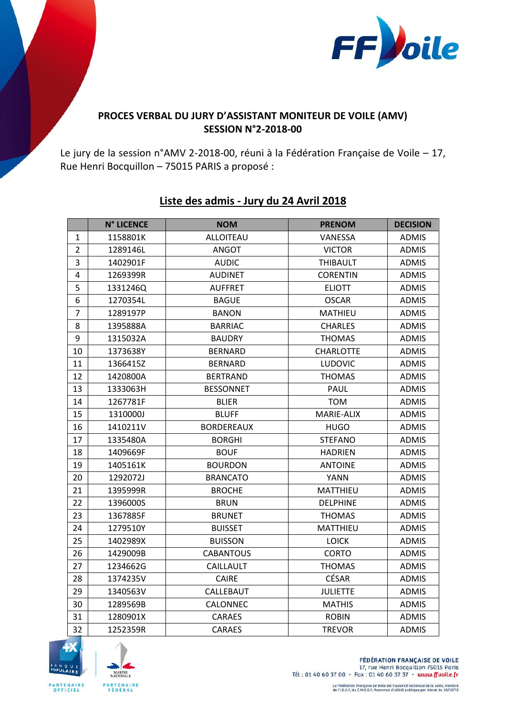

## **PROCES VERBAL DU JURY D'ASSISTANT MONITEUR DE VOILE (AMV) SESSION N°2-2018-00**

Le jury de la session n°AMV 2-2018-00, réuni à la Fédération Française de Voile – 17, Rue Henri Bocquillon – 75015 PARIS a proposé :

|                         | <b>N° LICENCE</b> | <b>NOM</b>        | <b>PRENOM</b>    | <b>DECISION</b> |
|-------------------------|-------------------|-------------------|------------------|-----------------|
| $\mathbf 1$             | 1158801K          | <b>ALLOITEAU</b>  | <b>VANESSA</b>   | <b>ADMIS</b>    |
| $\overline{2}$          | 1289146L          | <b>ANGOT</b>      | <b>VICTOR</b>    | <b>ADMIS</b>    |
| 3                       | 1402901F          | <b>AUDIC</b>      | <b>THIBAULT</b>  | <b>ADMIS</b>    |
| $\overline{\mathbf{4}}$ | 1269399R          | <b>AUDINET</b>    | <b>CORENTIN</b>  | <b>ADMIS</b>    |
| 5                       | 1331246Q          | <b>AUFFRET</b>    | <b>ELIOTT</b>    | <b>ADMIS</b>    |
| 6                       | 1270354L          | <b>BAGUE</b>      | <b>OSCAR</b>     | <b>ADMIS</b>    |
| $\overline{7}$          | 1289197P          | <b>BANON</b>      | <b>MATHIEU</b>   | <b>ADMIS</b>    |
| 8                       | 1395888A          | <b>BARRIAC</b>    | <b>CHARLES</b>   | <b>ADMIS</b>    |
| 9                       | 1315032A          | <b>BAUDRY</b>     | <b>THOMAS</b>    | <b>ADMIS</b>    |
| 10                      | 1373638Y          | <b>BERNARD</b>    | <b>CHARLOTTE</b> | <b>ADMIS</b>    |
| 11                      | 1366415Z          | <b>BERNARD</b>    | LUDOVIC          | <b>ADMIS</b>    |
| 12                      | 1420800A          | <b>BERTRAND</b>   | <b>THOMAS</b>    | <b>ADMIS</b>    |
| 13                      | 1333063H          | <b>BESSONNET</b>  | <b>PAUL</b>      | <b>ADMIS</b>    |
| 14                      | 1267781F          | <b>BLIER</b>      | <b>TOM</b>       | <b>ADMIS</b>    |
| 15                      | 1310000J          | <b>BLUFF</b>      | MARIE-ALIX       | <b>ADMIS</b>    |
| 16                      | 1410211V          | <b>BORDEREAUX</b> | <b>HUGO</b>      | <b>ADMIS</b>    |
| 17                      | 1335480A          | <b>BORGHI</b>     | <b>STEFANO</b>   | <b>ADMIS</b>    |
| 18                      | 1409669F          | <b>BOUF</b>       | <b>HADRIEN</b>   | <b>ADMIS</b>    |
| 19                      | 1405161K          | <b>BOURDON</b>    | <b>ANTOINE</b>   | <b>ADMIS</b>    |
| 20                      | 1292072J          | <b>BRANCATO</b>   | <b>YANN</b>      | <b>ADMIS</b>    |
| 21                      | 1395999R          | <b>BROCHE</b>     | MATTHIEU         | <b>ADMIS</b>    |
| 22                      | 1396000S          | <b>BRUN</b>       | <b>DELPHINE</b>  | <b>ADMIS</b>    |
| 23                      | 1367885F          | <b>BRUNET</b>     | <b>THOMAS</b>    | <b>ADMIS</b>    |
| 24                      | 1279510Y          | <b>BUISSET</b>    | MATTHIEU         | <b>ADMIS</b>    |
| 25                      | 1402989X          | <b>BUISSON</b>    | <b>LOICK</b>     | <b>ADMIS</b>    |
| 26                      | 1429009B          | <b>CABANTOUS</b>  | <b>CORTO</b>     | <b>ADMIS</b>    |
| 27                      | 1234662G          | CAILLAULT         | <b>THOMAS</b>    | <b>ADMIS</b>    |
| 28                      | 1374235V          | <b>CAIRE</b>      | <b>CÉSAR</b>     | <b>ADMIS</b>    |
| 29                      | 1340563V          | CALLEBAUT         | <b>JULIETTE</b>  | <b>ADMIS</b>    |
| 30                      | 1289569B          | CALONNEC          | <b>MATHIS</b>    | <b>ADMIS</b>    |
| 31                      | 1280901X          | <b>CARAES</b>     | <b>ROBIN</b>     | <b>ADMIS</b>    |
| 32                      | 1252359R          | <b>CARAES</b>     | <b>TREVOR</b>    | <b>ADMIS</b>    |

## **Liste des admis - Jury du 24 Avril 2018**





**FÉDÉRATION FRANÇAISE DE VOILE** 17, rue Henri Bocquillon 75015 Paris Tél: 01 40 60 37 00 - Fax: 01 40 60 37 37 - www.ffvoile.fr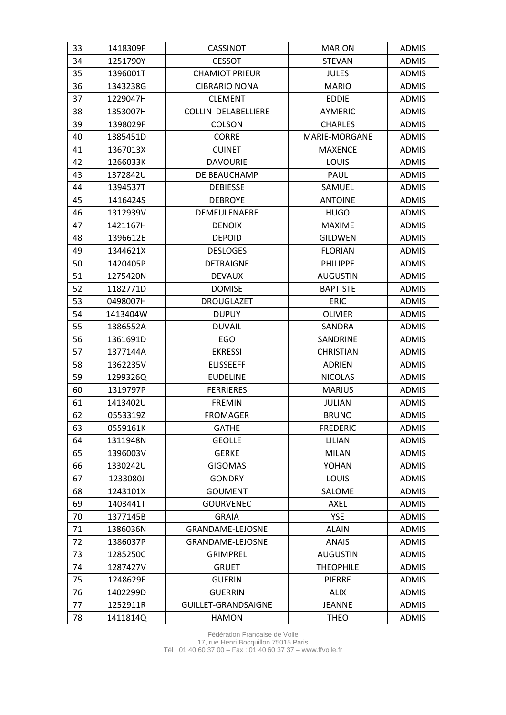| 33 | 1418309F | <b>CASSINOT</b>            | <b>MARION</b>    | <b>ADMIS</b> |
|----|----------|----------------------------|------------------|--------------|
| 34 | 1251790Y | <b>CESSOT</b>              | <b>STEVAN</b>    | <b>ADMIS</b> |
| 35 | 1396001T | <b>CHAMIOT PRIEUR</b>      | <b>JULES</b>     | <b>ADMIS</b> |
| 36 | 1343238G | <b>CIBRARIO NONA</b>       | <b>MARIO</b>     | <b>ADMIS</b> |
| 37 | 1229047H | <b>CLEMENT</b>             | <b>EDDIE</b>     | <b>ADMIS</b> |
| 38 | 1353007H | <b>COLLIN DELABELLIERE</b> | <b>AYMERIC</b>   | <b>ADMIS</b> |
| 39 | 1398029F | COLSON                     | <b>CHARLES</b>   | <b>ADMIS</b> |
| 40 | 1385451D | <b>CORRE</b>               | MARIE-MORGANE    | <b>ADMIS</b> |
| 41 | 1367013X | <b>CUINET</b>              | <b>MAXENCE</b>   | <b>ADMIS</b> |
| 42 | 1266033K | <b>DAVOURIE</b>            | LOUIS            | <b>ADMIS</b> |
| 43 | 1372842U | DE BEAUCHAMP               | <b>PAUL</b>      | <b>ADMIS</b> |
| 44 | 1394537T | <b>DEBIESSE</b>            | SAMUEL           | <b>ADMIS</b> |
| 45 | 1416424S | <b>DEBROYE</b>             | <b>ANTOINE</b>   | <b>ADMIS</b> |
| 46 | 1312939V | DEMEULENAERE               | <b>HUGO</b>      | <b>ADMIS</b> |
| 47 | 1421167H | <b>DENOIX</b>              | <b>MAXIME</b>    | <b>ADMIS</b> |
| 48 | 1396612E | <b>DEPOID</b>              | <b>GILDWEN</b>   | <b>ADMIS</b> |
| 49 | 1344621X | <b>DESLOGES</b>            | <b>FLORIAN</b>   | <b>ADMIS</b> |
| 50 | 1420405P | <b>DETRAIGNE</b>           | <b>PHILIPPE</b>  | <b>ADMIS</b> |
| 51 | 1275420N | <b>DEVAUX</b>              | <b>AUGUSTIN</b>  | <b>ADMIS</b> |
| 52 | 1182771D | <b>DOMISE</b>              | <b>BAPTISTE</b>  | <b>ADMIS</b> |
| 53 | 0498007H | <b>DROUGLAZET</b>          | ERIC             | <b>ADMIS</b> |
| 54 | 1413404W | <b>DUPUY</b>               | <b>OLIVIER</b>   | <b>ADMIS</b> |
| 55 | 1386552A | <b>DUVAIL</b>              | SANDRA           | <b>ADMIS</b> |
| 56 | 1361691D | EGO                        | SANDRINE         | <b>ADMIS</b> |
| 57 | 1377144A | <b>EKRESSI</b>             | <b>CHRISTIAN</b> | <b>ADMIS</b> |
| 58 | 1362235V | <b>ELISSEEFF</b>           | <b>ADRIEN</b>    | <b>ADMIS</b> |
| 59 | 1299326Q | <b>EUDELINE</b>            | <b>NICOLAS</b>   | <b>ADMIS</b> |
| 60 | 1319797P | <b>FERRIERES</b>           | <b>MARIUS</b>    | <b>ADMIS</b> |
| 61 | 1413402U | <b>FREMIN</b>              | <b>JULIAN</b>    | <b>ADMIS</b> |
| 62 | 0553319Z | <b>FROMAGER</b>            | <b>BRUNO</b>     | <b>ADMIS</b> |
| 63 | 0559161K | <b>GATHE</b>               | <b>FREDERIC</b>  | <b>ADMIS</b> |
| 64 | 1311948N | <b>GEOLLE</b>              | LILIAN           | <b>ADMIS</b> |
| 65 | 1396003V | <b>GERKE</b>               | <b>MILAN</b>     | <b>ADMIS</b> |
| 66 | 1330242U | <b>GIGOMAS</b>             | YOHAN            | <b>ADMIS</b> |
| 67 | 1233080J | <b>GONDRY</b>              | LOUIS            | <b>ADMIS</b> |
| 68 | 1243101X | <b>GOUMENT</b>             | SALOME           | <b>ADMIS</b> |
| 69 | 1403441T | <b>GOURVENEC</b>           | AXEL             | <b>ADMIS</b> |
| 70 | 1377145B | GRAIA                      | <b>YSE</b>       | <b>ADMIS</b> |
| 71 | 1386036N | GRANDAME-LEJOSNE           | <b>ALAIN</b>     | <b>ADMIS</b> |
| 72 | 1386037P | <b>GRANDAME-LEJOSNE</b>    | <b>ANAIS</b>     | <b>ADMIS</b> |
| 73 | 1285250C | <b>GRIMPREL</b>            | <b>AUGUSTIN</b>  | <b>ADMIS</b> |
| 74 | 1287427V | <b>GRUET</b>               | <b>THEOPHILE</b> | <b>ADMIS</b> |
| 75 | 1248629F | <b>GUERIN</b>              | <b>PIERRE</b>    | <b>ADMIS</b> |
| 76 | 1402299D | <b>GUERRIN</b>             | <b>ALIX</b>      | <b>ADMIS</b> |
| 77 | 1252911R | GUILLET-GRANDSAIGNE        | <b>JEANNE</b>    | <b>ADMIS</b> |
| 78 | 1411814Q | <b>HAMON</b>               | <b>THEO</b>      | <b>ADMIS</b> |

Fédération Française de Voile 17, rue Henri Bocquillon 75015 Paris Tél : 01 40 60 37 00 – Fax : 01 40 60 37 37 – www.ffvoile.fr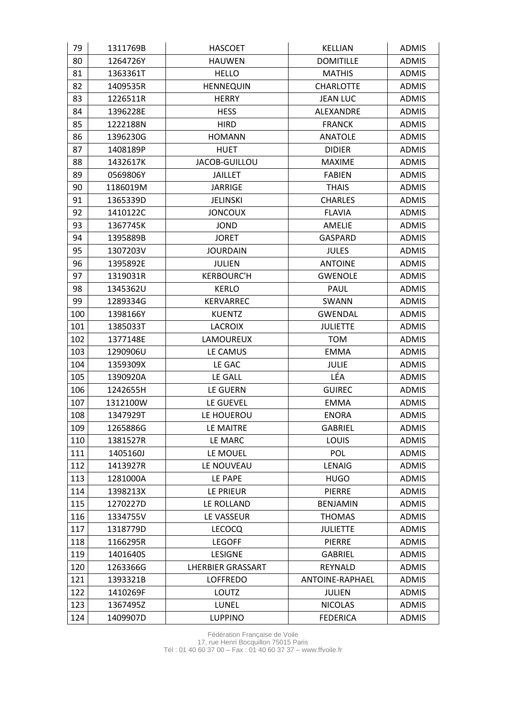| 79  | 1311769B | <b>HASCOET</b>           | <b>KELLIAN</b>   | <b>ADMIS</b> |
|-----|----------|--------------------------|------------------|--------------|
| 80  | 1264726Y | <b>HAUWEN</b>            | <b>DOMITILLE</b> | <b>ADMIS</b> |
| 81  | 1363361T | <b>HELLO</b>             | <b>MATHIS</b>    | <b>ADMIS</b> |
| 82  | 1409535R | <b>HENNEQUIN</b>         | <b>CHARLOTTE</b> | <b>ADMIS</b> |
| 83  | 1226511R | <b>HERRY</b>             | <b>JEAN LUC</b>  | <b>ADMIS</b> |
| 84  | 1396228E | <b>HESS</b>              | ALEXANDRE        | <b>ADMIS</b> |
| 85  | 1222188N | <b>HIRD</b>              | <b>FRANCK</b>    | <b>ADMIS</b> |
| 86  | 1396230G | <b>HOMANN</b>            | <b>ANATOLE</b>   | <b>ADMIS</b> |
| 87  | 1408189P | <b>HUET</b>              | <b>DIDIER</b>    | <b>ADMIS</b> |
| 88  | 1432617K | JACOB-GUILLOU            | <b>MAXIME</b>    | <b>ADMIS</b> |
| 89  | 0569806Y | <b>JAILLET</b>           | <b>FABIEN</b>    | <b>ADMIS</b> |
| 90  | 1186019M | <b>JARRIGE</b>           | <b>THAIS</b>     | <b>ADMIS</b> |
| 91  | 1365339D | <b>JELINSKI</b>          | <b>CHARLES</b>   | <b>ADMIS</b> |
| 92  | 1410122C | <b>JONCOUX</b>           | <b>FLAVIA</b>    | <b>ADMIS</b> |
| 93  | 1367745K | <b>JOND</b>              | <b>AMELIE</b>    | <b>ADMIS</b> |
| 94  | 1395889B | <b>JORET</b>             | <b>GASPARD</b>   | <b>ADMIS</b> |
| 95  | 1307203V | <b>JOURDAIN</b>          | <b>JULES</b>     | <b>ADMIS</b> |
| 96  | 1395892E | <b>JULIEN</b>            | <b>ANTOINE</b>   | <b>ADMIS</b> |
| 97  | 1319031R | <b>KERBOURC'H</b>        | <b>GWENOLE</b>   | <b>ADMIS</b> |
| 98  | 1345362U | <b>KERLO</b>             | <b>PAUL</b>      | <b>ADMIS</b> |
| 99  | 1289334G | KERVARREC                | SWANN            | <b>ADMIS</b> |
| 100 | 1398166Y | <b>KUENTZ</b>            | <b>GWENDAL</b>   | <b>ADMIS</b> |
| 101 | 1385033T | <b>LACROIX</b>           | <b>JULIETTE</b>  | <b>ADMIS</b> |
| 102 | 1377148E | LAMOUREUX                | <b>TOM</b>       | <b>ADMIS</b> |
| 103 | 1290906U | LE CAMUS                 | <b>EMMA</b>      | <b>ADMIS</b> |
| 104 | 1359309X | LE GAC                   | <b>JULIE</b>     | <b>ADMIS</b> |
| 105 | 1390920A | LE GALL                  | LÉA              | <b>ADMIS</b> |
| 106 | 1242655H | LE GUERN                 | <b>GUIREC</b>    | <b>ADMIS</b> |
| 107 | 1312100W | LE GUEVEL                | <b>EMMA</b>      | <b>ADMIS</b> |
| 108 | 1347929T | LE HOUEROU               | <b>ENORA</b>     | <b>ADMIS</b> |
| 109 | 1265886G | LE MAITRE                | <b>GABRIEL</b>   | <b>ADMIS</b> |
| 110 | 1381527R | LE MARC                  | LOUIS            | <b>ADMIS</b> |
| 111 | 1405160J | LE MOUEL                 | POL              | <b>ADMIS</b> |
| 112 | 1413927R | LE NOUVEAU               | <b>LENAIG</b>    | <b>ADMIS</b> |
| 113 | 1281000A | LE PAPE                  | <b>HUGO</b>      | <b>ADMIS</b> |
| 114 | 1398213X | LE PRIEUR                | <b>PIERRE</b>    | <b>ADMIS</b> |
| 115 | 1270227D | LE ROLLAND               | <b>BENJAMIN</b>  | <b>ADMIS</b> |
| 116 | 1334755V | LE VASSEUR               | <b>THOMAS</b>    | <b>ADMIS</b> |
| 117 | 1318779D | <b>LECOCQ</b>            | <b>JULIETTE</b>  | <b>ADMIS</b> |
| 118 | 1166295R | <b>LEGOFF</b>            | <b>PIERRE</b>    | <b>ADMIS</b> |
| 119 | 1401640S | <b>LESIGNE</b>           | <b>GABRIEL</b>   | <b>ADMIS</b> |
| 120 | 1263366G | <b>LHERBIER GRASSART</b> | REYNALD          | <b>ADMIS</b> |
| 121 | 1393321B | <b>LOFFREDO</b>          | ANTOINE-RAPHAEL  | <b>ADMIS</b> |
| 122 | 1410269F | LOUTZ                    | JULIEN           | <b>ADMIS</b> |
| 123 | 1367495Z | LUNEL                    | <b>NICOLAS</b>   | <b>ADMIS</b> |
| 124 | 1409907D | <b>LUPPINO</b>           | <b>FEDERICA</b>  | <b>ADMIS</b> |

Fédération Française de Voile 17, rue Henri Bocquillon 75015 Paris Tél : 01 40 60 37 00 – Fax : 01 40 60 37 37 – www.ffvoile.fr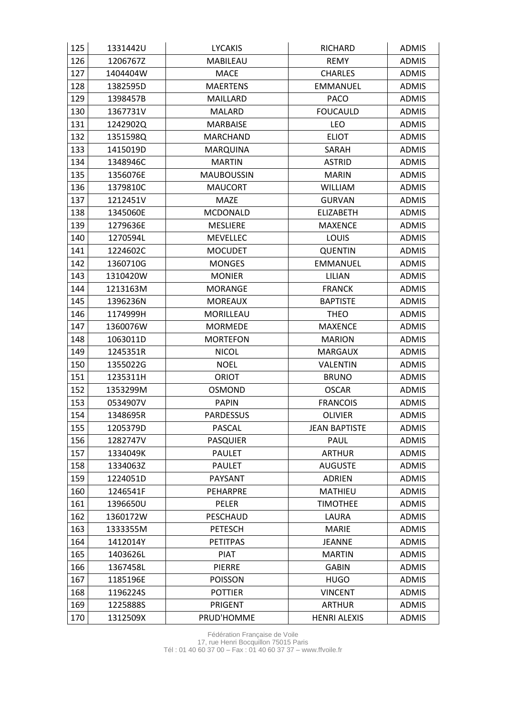| 125 | 1331442U | <b>LYCAKIS</b>    | <b>RICHARD</b>       | <b>ADMIS</b> |
|-----|----------|-------------------|----------------------|--------------|
| 126 | 1206767Z | MABILEAU          | <b>REMY</b>          | <b>ADMIS</b> |
| 127 | 1404404W | MACE              | <b>CHARLES</b>       | <b>ADMIS</b> |
| 128 | 1382595D | <b>MAERTENS</b>   | <b>EMMANUEL</b>      | <b>ADMIS</b> |
| 129 | 1398457B | <b>MAILLARD</b>   | <b>PACO</b>          | <b>ADMIS</b> |
| 130 | 1367731V | <b>MALARD</b>     | <b>FOUCAULD</b>      | <b>ADMIS</b> |
| 131 | 1242902Q | <b>MARBAISE</b>   | LEO                  | <b>ADMIS</b> |
| 132 | 1351598Q | <b>MARCHAND</b>   | <b>ELIOT</b>         | <b>ADMIS</b> |
| 133 | 1415019D | MARQUINA          | SARAH                | <b>ADMIS</b> |
| 134 | 1348946C | <b>MARTIN</b>     | <b>ASTRID</b>        | <b>ADMIS</b> |
| 135 | 1356076E | <b>MAUBOUSSIN</b> | <b>MARIN</b>         | <b>ADMIS</b> |
| 136 | 1379810C | <b>MAUCORT</b>    | <b>WILLIAM</b>       | <b>ADMIS</b> |
| 137 | 1212451V | <b>MAZE</b>       | <b>GURVAN</b>        | <b>ADMIS</b> |
| 138 | 1345060E | <b>MCDONALD</b>   | <b>ELIZABETH</b>     | <b>ADMIS</b> |
| 139 | 1279636E | <b>MESLIERE</b>   | <b>MAXENCE</b>       | <b>ADMIS</b> |
| 140 | 1270594L | <b>MEVELLEC</b>   | LOUIS                | <b>ADMIS</b> |
| 141 | 1224602C | <b>MOCUDET</b>    | <b>QUENTIN</b>       | <b>ADMIS</b> |
| 142 | 1360710G | <b>MONGES</b>     | <b>EMMANUEL</b>      | <b>ADMIS</b> |
| 143 | 1310420W | <b>MONIER</b>     | LILIAN               | <b>ADMIS</b> |
| 144 | 1213163M | <b>MORANGE</b>    | <b>FRANCK</b>        | <b>ADMIS</b> |
| 145 | 1396236N | <b>MOREAUX</b>    | <b>BAPTISTE</b>      | <b>ADMIS</b> |
| 146 | 1174999H | MORILLEAU         | <b>THEO</b>          | <b>ADMIS</b> |
| 147 | 1360076W | <b>MORMEDE</b>    | <b>MAXENCE</b>       | <b>ADMIS</b> |
| 148 | 1063011D | <b>MORTEFON</b>   | <b>MARION</b>        | <b>ADMIS</b> |
| 149 | 1245351R | <b>NICOL</b>      | <b>MARGAUX</b>       | <b>ADMIS</b> |
| 150 | 1355022G | <b>NOEL</b>       | VALENTIN             | <b>ADMIS</b> |
| 151 | 1235311H | <b>ORIOT</b>      | <b>BRUNO</b>         | <b>ADMIS</b> |
| 152 | 1353299M | <b>OSMOND</b>     | <b>OSCAR</b>         | <b>ADMIS</b> |
| 153 | 0534907V | <b>PAPIN</b>      | <b>FRANCOIS</b>      | <b>ADMIS</b> |
| 154 | 1348695R | <b>PARDESSUS</b>  | <b>OLIVIER</b>       | <b>ADMIS</b> |
| 155 | 1205379D | PASCAL            | <b>JEAN BAPTISTE</b> | <b>ADMIS</b> |
| 156 | 1282747V | <b>PASQUIER</b>   | <b>PAUL</b>          | <b>ADMIS</b> |
| 157 | 1334049K | <b>PAULET</b>     | <b>ARTHUR</b>        | <b>ADMIS</b> |
| 158 | 1334063Z | <b>PAULET</b>     | <b>AUGUSTE</b>       | <b>ADMIS</b> |
| 159 | 1224051D | PAYSANT           | <b>ADRIEN</b>        | <b>ADMIS</b> |
| 160 | 1246541F | <b>PEHARPRE</b>   | <b>MATHIEU</b>       | <b>ADMIS</b> |
| 161 | 1396650U | PELER             | <b>TIMOTHEE</b>      | <b>ADMIS</b> |
| 162 | 1360172W | <b>PESCHAUD</b>   | LAURA                | <b>ADMIS</b> |
| 163 | 1333355M | <b>PETESCH</b>    | <b>MARIE</b>         | <b>ADMIS</b> |
| 164 | 1412014Y | <b>PETITPAS</b>   | <b>JEANNE</b>        | <b>ADMIS</b> |
| 165 | 1403626L | <b>PIAT</b>       | <b>MARTIN</b>        | <b>ADMIS</b> |
| 166 | 1367458L | PIERRE            | <b>GABIN</b>         | <b>ADMIS</b> |
| 167 | 1185196E | <b>POISSON</b>    | <b>HUGO</b>          | <b>ADMIS</b> |
| 168 | 1196224S | <b>POTTIER</b>    | <b>VINCENT</b>       | <b>ADMIS</b> |
| 169 | 1225888S | PRIGENT           | <b>ARTHUR</b>        | <b>ADMIS</b> |
| 170 | 1312509X | PRUD'HOMME        | <b>HENRI ALEXIS</b>  | <b>ADMIS</b> |

Fédération Française de Voile 17, rue Henri Bocquillon 75015 Paris Tél : 01 40 60 37 00 – Fax : 01 40 60 37 37 – www.ffvoile.fr